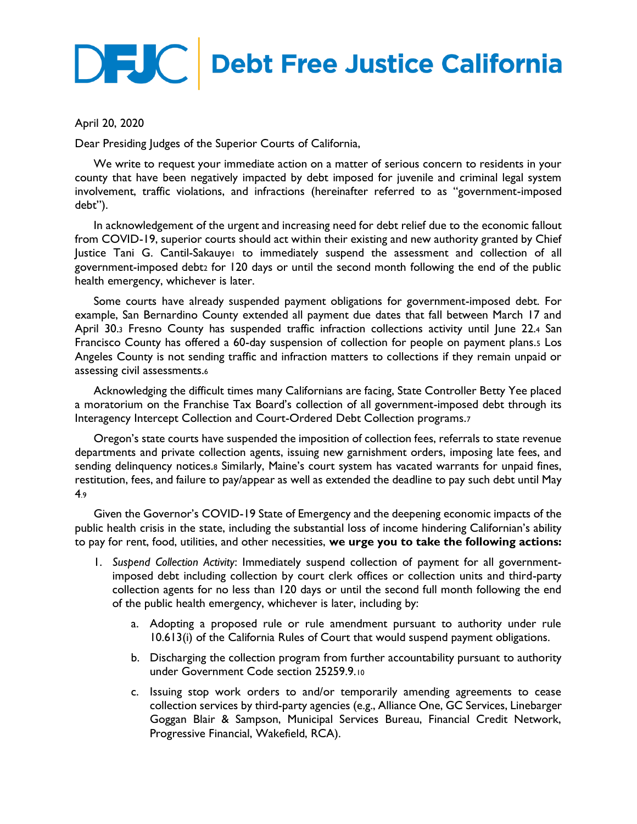## **DEJC** Debt Free Justice California

## April 20, 2020

Dear Presiding Judges of the Superior Courts of California,

We write to request your immediate action on a matter of serious concern to residents in your county that have been negatively impacted by debt imposed for juvenile and criminal legal system involvement, traffic violations, and infractions (hereinafter referred to as "government-imposed debt").

In acknowledgement of the urgent and increasing need for debt relief due to the economic fallout from COVID-19, superior courts should act within their existing and new authority granted by Chief Justice Tani G. Cantil-Sakauye<sup>1</sup> to immediately suspend the assessment and collection of all government-imposed debt<sup>2</sup> for 120 days or until the second month following the end of the public health emergency, whichever is later.

Some courts have already suspended payment obligations for government-imposed debt. For example, San Bernardino County extended all payment due dates that fall between March 17 and April 30.<sup>3</sup> Fresno County has suspended traffic infraction collections activity until June 22.<sup>4</sup> San Francisco County has offered a 60-day suspension of collection for people on payment plans.<sup>5</sup> Los Angeles County is not sending traffic and infraction matters to collections if they remain unpaid or assessing civil assessments.<sup>6</sup>

Acknowledging the difficult times many Californians are facing, State Controller Betty Yee placed a moratorium on the Franchise Tax Board's collection of all government-imposed debt through its Interagency Intercept Collection and Court-Ordered Debt Collection programs.<sup>7</sup>

Oregon's state courts have suspended the imposition of collection fees, referrals to state revenue departments and private collection agents, issuing new garnishment orders, imposing late fees, and sending delinquency notices.8 Similarly, Maine's court system has vacated warrants for unpaid fines, restitution, fees, and failure to pay/appear as well as extended the deadline to pay such debt until May 4.9

Given the Governor's COVID-19 State of Emergency and the deepening economic impacts of the public health crisis in the state, including the substantial loss of income hindering Californian's ability to pay for rent, food, utilities, and other necessities, **we urge you to take the following actions:**

- 1. *Suspend Collection Activity*: Immediately suspend collection of payment for all governmentimposed debt including collection by court clerk offices or collection units and third-party collection agents for no less than 120 days or until the second full month following the end of the public health emergency, whichever is later, including by:
	- a. Adopting a proposed rule or rule amendment pursuant to authority under rule 10.613(i) of the California Rules of Court that would suspend payment obligations.
	- b. Discharging the collection program from further accountability pursuant to authority under Government Code section 25259.9.<sup>10</sup>
	- c. Issuing stop work orders to and/or temporarily amending agreements to cease collection services by third-party agencies (e.g., Alliance One, GC Services, Linebarger Goggan Blair & Sampson, Municipal Services Bureau, Financial Credit Network, Progressive Financial, Wakefield, RCA).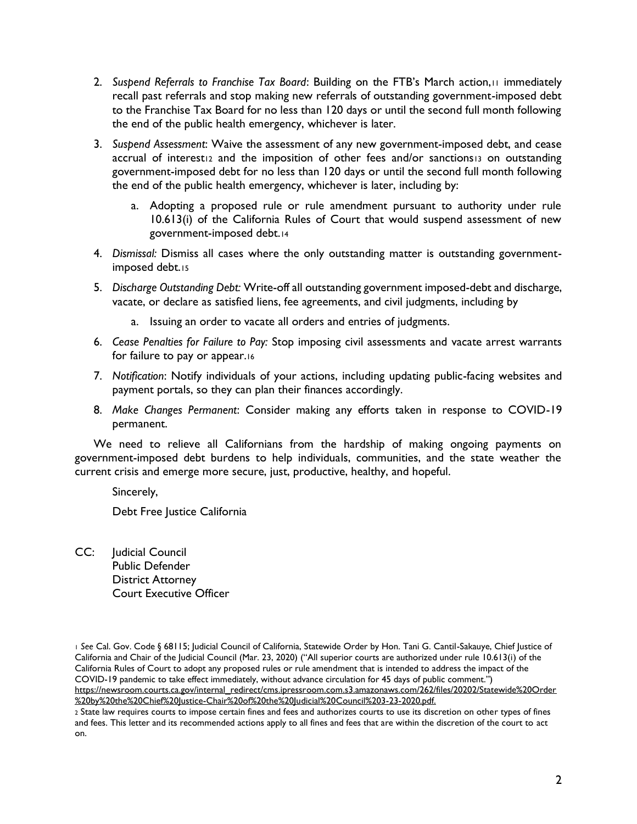- 2. *Suspend Referrals to Franchise Tax Board*: Building on the FTB's March action,<sup>11</sup> immediately recall past referrals and stop making new referrals of outstanding government-imposed debt to the Franchise Tax Board for no less than 120 days or until the second full month following the end of the public health emergency, whichever is later.
- 3. *Suspend Assessment*: Waive the assessment of any new government-imposed debt, and cease accrual of interest<sub>12</sub> and the imposition of other fees and/or sanctions13 on outstanding government-imposed debt for no less than 120 days or until the second full month following the end of the public health emergency, whichever is later, including by:
	- a. Adopting a proposed rule or rule amendment pursuant to authority under rule 10.613(i) of the California Rules of Court that would suspend assessment of new government-imposed debt.<sup>14</sup>
- 4. *Dismissal:* Dismiss all cases where the only outstanding matter is outstanding governmentimposed debt.<sup>15</sup>
- 5. *Discharge Outstanding Debt:* Write-off all outstanding government imposed-debt and discharge, vacate, or declare as satisfied liens, fee agreements, and civil judgments, including by
	- a. Issuing an order to vacate all orders and entries of judgments.
- 6. *Cease Penalties for Failure to Pay:* Stop imposing civil assessments and vacate arrest warrants for failure to pay or appear.<sup>16</sup>
- 7. *Notification*: Notify individuals of your actions, including updating public-facing websites and payment portals, so they can plan their finances accordingly.
- 8. *Make Changes Permanent*: Consider making any efforts taken in response to COVID-19 permanent.

We need to relieve all Californians from the hardship of making ongoing payments on government-imposed debt burdens to help individuals, communities, and the state weather the current crisis and emerge more secure, just, productive, healthy, and hopeful.

Sincerely,

Debt Free Justice California

CC: Judicial Council Public Defender District Attorney Court Executive Officer

<sup>1</sup> *See* Cal. Gov. Code § 68115; Judicial Council of California, Statewide Order by Hon. Tani G. Cantil-Sakauye, Chief Justice of California and Chair of the Judicial Council (Mar. 23, 2020) ("All superior courts are authorized under rule 10.613(i) of the California Rules of Court to adopt any proposed rules or rule amendment that is intended to address the impact of the COVID-19 pandemic to take effect immediately, without advance circulation for 45 days of public comment.") [https://newsroom.courts.ca.gov/internal\\_redirect/cms.ipressroom.com.s3.amazonaws.com/262/files/20202/Statewide%20Order](https://newsroom.courts.ca.gov/internal_redirect/cms.ipressroom.com.s3.amazonaws.com/262/files/20202/Statewide%20Order%20by%20the%20Chief%20Justice-Chair%20of%20the%20Judicial%20Council%203-23-2020.pdf) [%20by%20the%20Chief%20Justice-Chair%20of%20the%20Judicial%20Council%203-23-2020.pdf.](https://newsroom.courts.ca.gov/internal_redirect/cms.ipressroom.com.s3.amazonaws.com/262/files/20202/Statewide%20Order%20by%20the%20Chief%20Justice-Chair%20of%20the%20Judicial%20Council%203-23-2020.pdf)

<sup>2</sup> State law requires courts to impose certain fines and fees and authorizes courts to use its discretion on other types of fines and fees. This letter and its recommended actions apply to all fines and fees that are within the discretion of the court to act on.